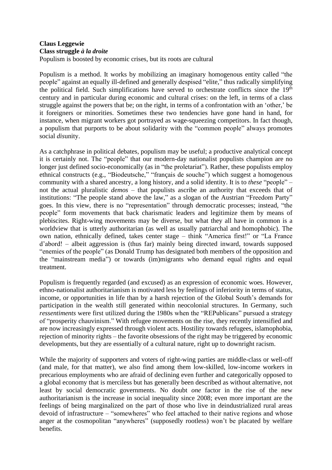## **Claus Leggewie Class struggle** *à la droite*

Populism is boosted by economic crises, but its roots are cultural

Populism is a method. It works by mobilizing an imaginary homogenous entity called "the people" against an equally ill-defined and generally despised "elite," thus radically simplifying the political field. Such simplifications have served to orchestrate conflicts since the  $19<sup>th</sup>$ century and in particular during economic and cultural crises: on the left, in terms of a class struggle against the powers that be; on the right, in terms of a confrontation with an 'other,' be it foreigners or minorities. Sometimes these two tendencies have gone hand in hand, for instance, when migrant workers got portrayed as wage-squeezing competitors. In fact though, a populism that purports to be about solidarity with the "common people" always promotes social *dis*unity.

As a catchphrase in political debates, populism may be useful; a productive analytical concept it is certainly not. The "people" that our modern-day nationalist populists champion are no longer just defined socio-economically (as in "the proletariat"). Rather, these populists employ ethnical constructs (e.g., "Biodeutsche," "français de souche") which suggest a homogenous community with a shared ancestry, a long history, and a solid identity. It is to *these* "people" – not the actual pluralistic *demos* – that populists ascribe an authority that exceeds that of institutions: "The people stand above the law," as a slogan of the Austrian "Freedom Party" goes. In this view, there is no "representation" through democratic processes; instead, "the people" form movements that back charismatic leaders and legitimize them by means of plebiscites. Right-wing movements may be diverse, but what they all have in common is a worldview that is utterly authoritarian (as well as usually patriarchal and homophobic). The own nation, ethnically defined, takes center stage – think "America first!" or "La France d'abord! – albeit aggression is (thus far) mainly being directed inward, towards supposed "enemies of the people" (as Donald Trump has designated both members of the opposition and the "mainstream media") or towards (im)migrants who demand equal rights and equal treatment.

Populism is frequently regarded (and excused) as an expression of economic woes. However, ethno-nationalist authoritarianism is motivated less by feelings of inferiority in terms of status, income, or opportunities in life than by a harsh rejection of the Global South's demands for participation in the wealth still generated within neocolonial structures. In Germany, such *ressentiments* were first utilized during the 1980s when the "REPublicans" pursued a strategy of "prosperity chauvinism." With refugee movements on the rise, they recently intensified and are now increasingly expressed through violent acts. Hostility towards refugees, islamophobia, rejection of minority rights – the favorite obsessions of the right may be triggered by economic developments, but they are essentially of a cultural nature, right up to downright racism.

While the majority of supporters and voters of right-wing parties are middle-class or well-off (and male, for that matter), we also find among them low-skilled, low-income workers in precarious employments who are afraid of declining even further and categorically opposed to a global economy that is merciless but has generally been described as without alternative, not least by social democratic governments. No doubt *one* factor in the rise of the new authoritarianism is the increase in social inequality since 2008; even more important are the feelings of being marginalized on the part of those who live in deindustrialized rural areas devoid of infrastructure – "somewheres" who feel attached to their native regions and whose anger at the cosmopolitan "anywheres" (supposedly rootless) won't be placated by welfare benefits.